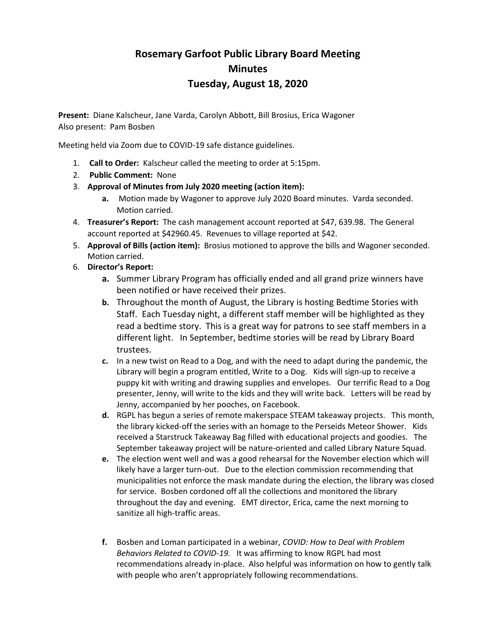# **Rosemary Garfoot Public Library Board Meeting Minutes Tuesday, August 18, 2020**

**Present:** Diane Kalscheur, Jane Varda, Carolyn Abbott, Bill Brosius, Erica Wagoner Also present: Pam Bosben

Meeting held via Zoom due to COVID-19 safe distance guidelines.

- 1. **Call to Order:** Kalscheur called the meeting to order at 5:15pm.
- 2. **Public Comment:** None
- 3. **Approval of Minutes from July 2020 meeting (action item):**
	- **a.** Motion made by Wagoner to approve July 2020 Board minutes. Varda seconded. Motion carried.
- 4. **Treasurer's Report:** The cash management account reported at \$47, 639.98. The General account reported at \$42960.45. Revenues to village reported at \$42.
- 5. **Approval of Bills (action item):** Brosius motioned to approve the bills and Wagoner seconded. Motion carried.
- 6. **Director's Report:**
	- **a.** Summer Library Program has officially ended and all grand prize winners have been notified or have received their prizes.
	- **b.** Throughout the month of August, the Library is hosting Bedtime Stories with Staff. Each Tuesday night, a different staff member will be highlighted as they read a bedtime story. This is a great way for patrons to see staff members in a different light. In September, bedtime stories will be read by Library Board trustees.
	- **c.** In a new twist on Read to a Dog, and with the need to adapt during the pandemic, the Library will begin a program entitled, Write to a Dog. Kids will sign-up to receive a puppy kit with writing and drawing supplies and envelopes. Our terrific Read to a Dog presenter, Jenny, will write to the kids and they will write back. Letters will be read by Jenny, accompanied by her pooches, on Facebook.
	- **d.** RGPL has begun a series of remote makerspace STEAM takeaway projects. This month, the library kicked-off the series with an homage to the Perseids Meteor Shower. Kids received a Starstruck Takeaway Bag filled with educational projects and goodies. The September takeaway project will be nature-oriented and called Library Nature Squad.
	- **e.** The election went well and was a good rehearsal for the November election which will likely have a larger turn-out. Due to the election commission recommending that municipalities not enforce the mask mandate during the election, the library was closed for service. Bosben cordoned off all the collections and monitored the library throughout the day and evening. EMT director, Erica, came the next morning to sanitize all high-traffic areas.
	- **f.** Bosben and Loman participated in a webinar, *COVID: How to Deal with Problem Behaviors Related to COVID-19.* It was affirming to know RGPL had most recommendations already in-place. Also helpful was information on how to gently talk with people who aren't appropriately following recommendations.